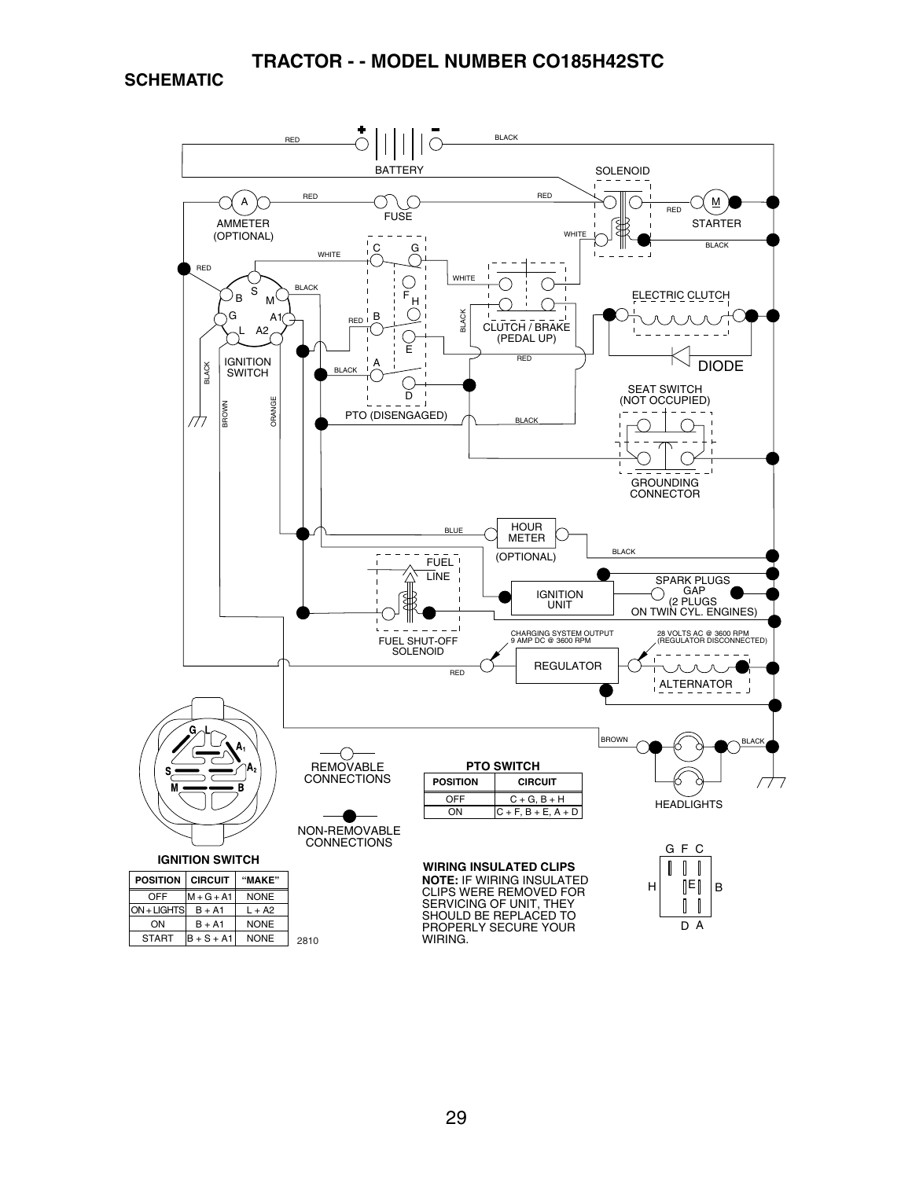**SCHEMATIC**

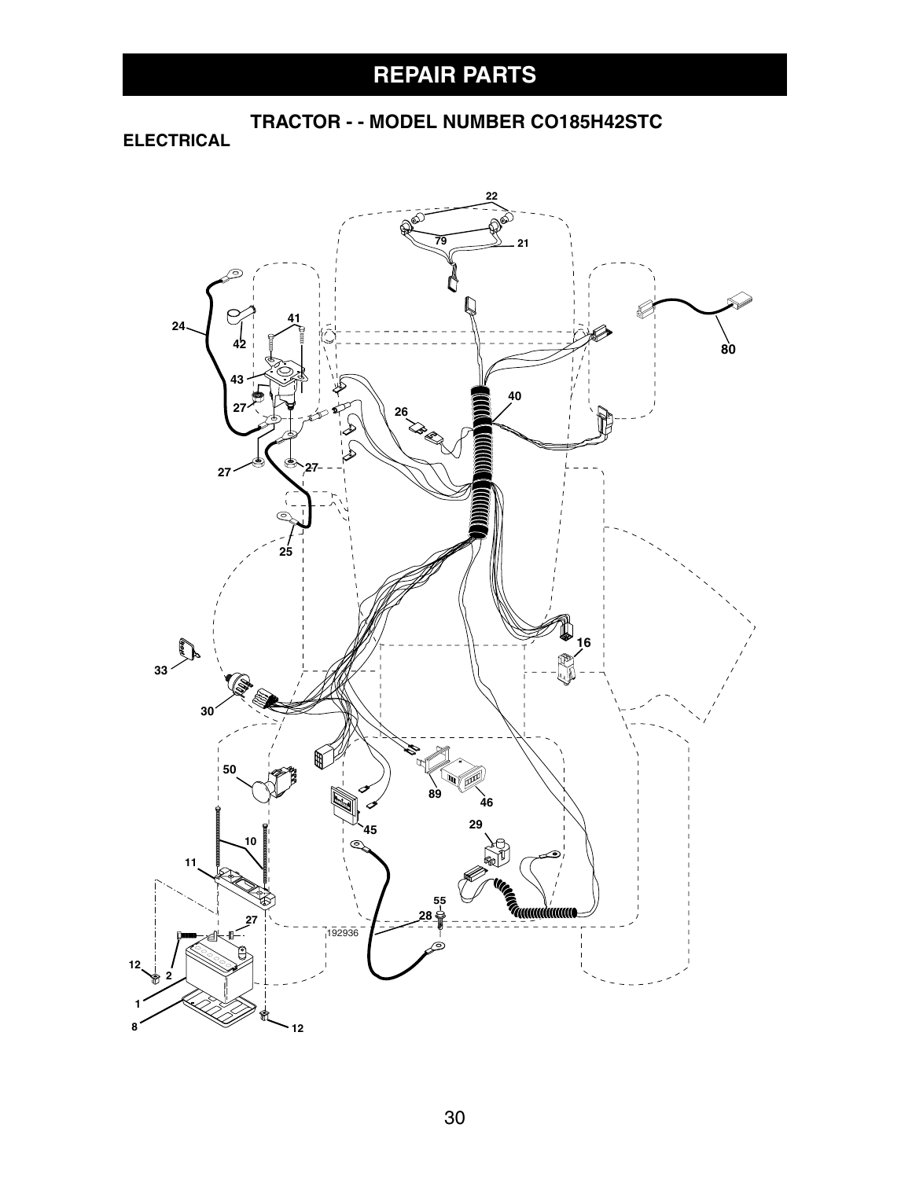**ELECTRICAL**

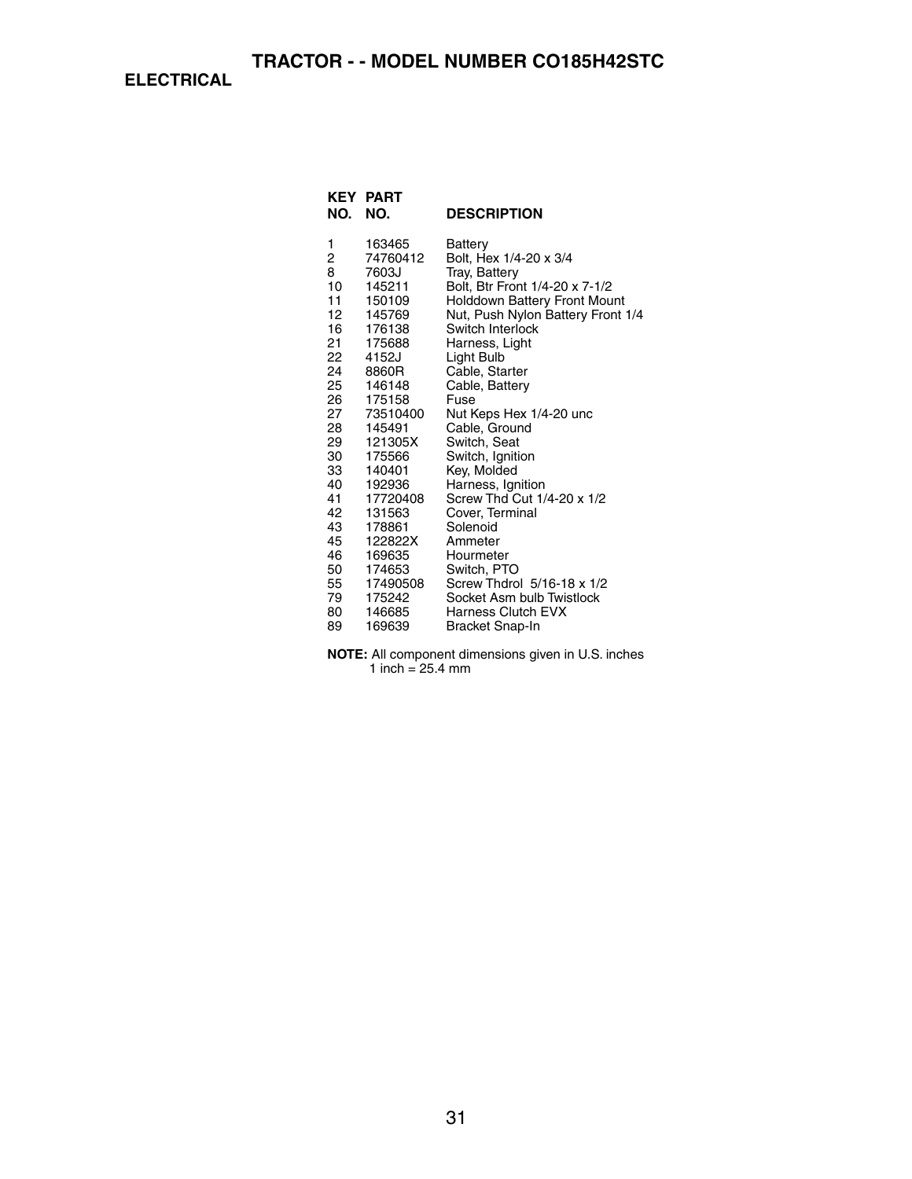**ELECTRICAL**

| <b>KEY</b><br>NO.                                                                                                                   | <b>PART</b><br>NO.                                                                                                                                                                                                                      | <b>DESCRIPTION</b>                                                                                                                                                                                                                                                                                                                                                                                                                                                 |
|-------------------------------------------------------------------------------------------------------------------------------------|-----------------------------------------------------------------------------------------------------------------------------------------------------------------------------------------------------------------------------------------|--------------------------------------------------------------------------------------------------------------------------------------------------------------------------------------------------------------------------------------------------------------------------------------------------------------------------------------------------------------------------------------------------------------------------------------------------------------------|
| 1<br>2<br>8<br>10<br>11<br>12<br>16<br>21<br>22<br>24<br>25<br>26<br>27<br>28<br>29<br>30<br>33<br>40<br>41<br>42<br>43<br>45<br>46 | 163465<br>74760412<br>7603J<br>145211<br>150109<br>145769<br>176138<br>175688<br>4152J<br>8860R<br>146148<br>175158<br>73510400<br>145491<br>121305X<br>175566<br>140401<br>192936<br>17720408<br>131563<br>178861<br>122822X<br>169635 | Battery<br>Bolt, Hex 1/4-20 x 3/4<br>Tray, Battery<br>Bolt, Btr Front 1/4-20 x 7-1/2<br>Holddown Battery Front Mount<br>Nut, Push Nylon Battery Front 1/4<br>Switch Interlock<br>Harness, Light<br>Light Bulb<br>Cable, Starter<br>Cable, Battery<br>Fuse<br>Nut Keps Hex 1/4-20 unc<br>Cable, Ground<br>Switch, Seat<br>Switch, Ignition<br>Key, Molded<br>Harness, Ignition<br>Screw Thd Cut 1/4-20 x 1/2<br>Cover, Terminal<br>Solenoid<br>Ammeter<br>Hourmeter |
| 50                                                                                                                                  | 174653                                                                                                                                                                                                                                  | Switch, PTO                                                                                                                                                                                                                                                                                                                                                                                                                                                        |
| 55<br>79                                                                                                                            | 17490508<br>175242                                                                                                                                                                                                                      | Screw Thdrol 5/16-18 x 1/2<br>Socket Asm bulb Twistlock                                                                                                                                                                                                                                                                                                                                                                                                            |
| 80                                                                                                                                  | 146685                                                                                                                                                                                                                                  | <b>Harness Clutch EVX</b>                                                                                                                                                                                                                                                                                                                                                                                                                                          |
| 89                                                                                                                                  | 169639                                                                                                                                                                                                                                  | <b>Bracket Snap-In</b>                                                                                                                                                                                                                                                                                                                                                                                                                                             |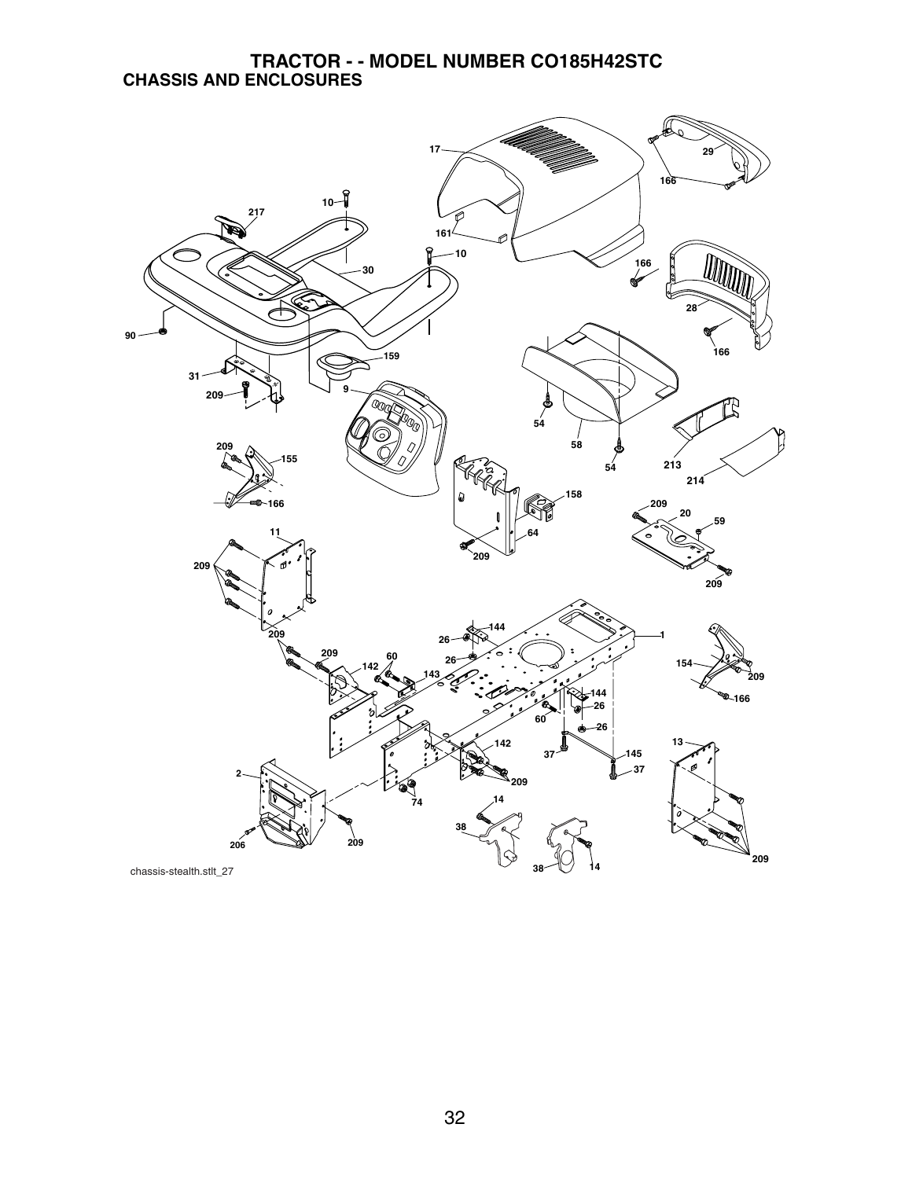#### **TRACTOR - - MODEL NUMBER CO185H42STC CHASSIS AND ENCLOSURES**

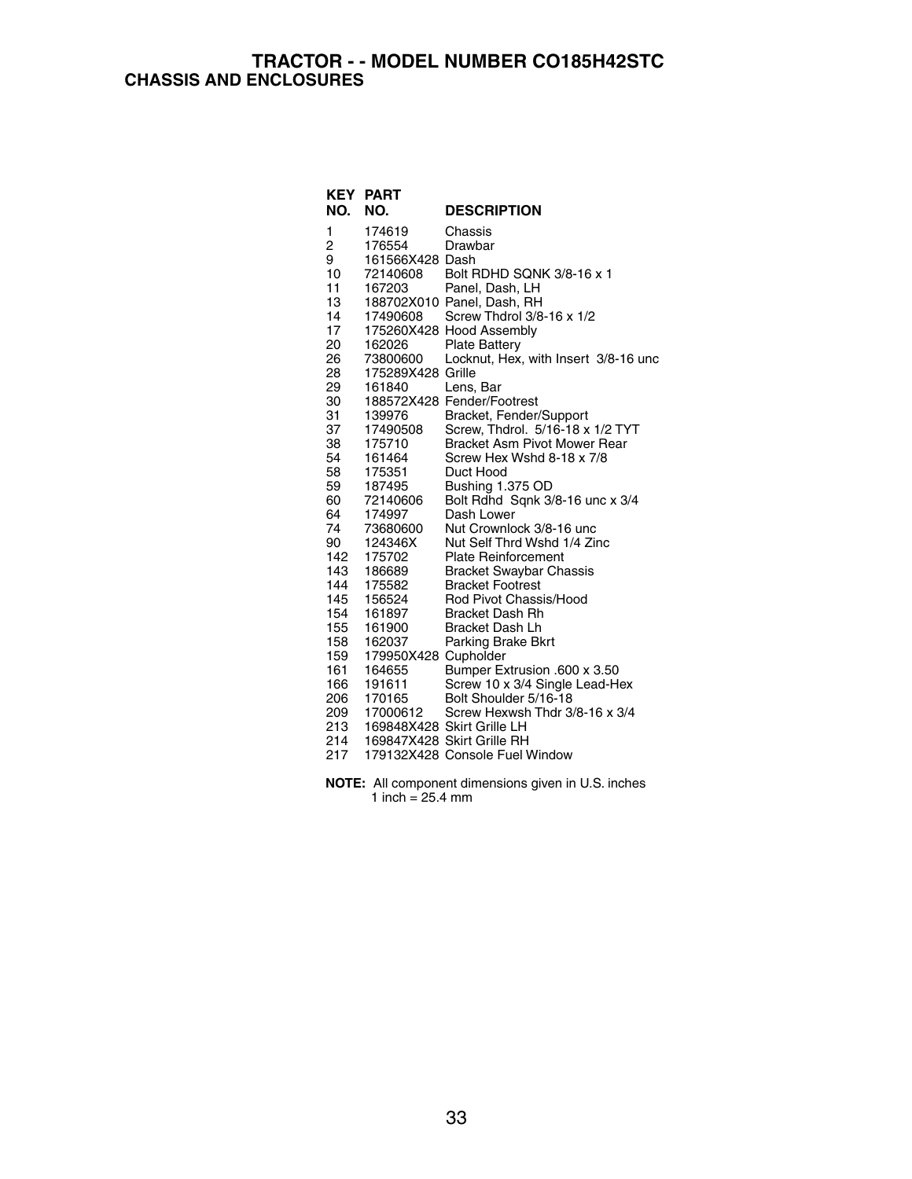#### **TRACTOR - - MODEL NUMBER CO185H42STC CHASSIS AND ENCLOSURES**

| KEY | <b>PART</b>          |                                      |
|-----|----------------------|--------------------------------------|
| NO. | NO.                  | <b>DESCRIPTION</b>                   |
| 1   | 174619               | Chassis                              |
| 2   | 176554               | Drawbar                              |
| 9   | 161566X428 Dash      |                                      |
| 10  | 72140608             | Bolt RDHD SQNK 3/8-16 x 1            |
| 11  | 167203               | Panel, Dash, LH                      |
| 13  |                      | 188702X010 Panel, Dash, RH           |
| 14  | 17490608             | Screw Thdrol 3/8-16 x 1/2            |
| 17  |                      | 175260X428 Hood Assembly             |
| 20  | 162026               | <b>Plate Battery</b>                 |
| 26  | 73800600             | Locknut, Hex, with Insert 3/8-16 unc |
| 28  | 175289X428 Grille    |                                      |
| 29  | 161840               | Lens, Bar                            |
| 30  |                      | 188572X428 Fender/Footrest           |
| 31  | 139976               | Bracket, Fender/Support              |
| 37  | 17490508             | Screw, Thdrol. 5/16-18 x 1/2 TYT     |
| 38  | 175710               | <b>Bracket Asm Pivot Mower Rear</b>  |
| 54  | 161464               | Screw Hex Wshd 8-18 x 7/8            |
| 58  | 175351               | Duct Hood                            |
| 59  | 187495               | Bushing 1.375 OD                     |
| 60  | 72140606             | Bolt Rdhd Sqnk 3/8-16 unc x 3/4      |
| 64  | 174997               | Dash Lower                           |
| 74  | 73680600             | Nut Crownlock 3/8-16 unc             |
| 90  | 124346X              | Nut Self Thrd Wshd 1/4 Zinc          |
| 142 | 175702               | <b>Plate Reinforcement</b>           |
| 143 | 186689               | <b>Bracket Swaybar Chassis</b>       |
| 144 | 175582               | <b>Bracket Footrest</b>              |
| 145 | 156524               | Rod Pivot Chassis/Hood               |
| 154 | 161897               | <b>Bracket Dash Rh</b>               |
| 155 | 161900               | <b>Bracket Dash Lh</b>               |
| 158 | 162037               | Parking Brake Bkrt                   |
| 159 | 179950X428 Cupholder |                                      |
| 161 | 164655               | Bumper Extrusion .600 x 3.50         |
| 166 | 191611               | Screw 10 x 3/4 Single Lead-Hex       |
| 206 | 170165               | Bolt Shoulder 5/16-18                |
| 209 | 17000612             | Screw Hexwsh Thdr 3/8-16 x 3/4       |
| 213 |                      | 169848X428 Skirt Grille LH           |
| 214 |                      | 169847X428 Skirt Grille RH           |
| 217 |                      | 179132X428 Console Fuel Window       |

**NOTE:** All component dimensions given in U.S. inches 1 inch = 25.4 mm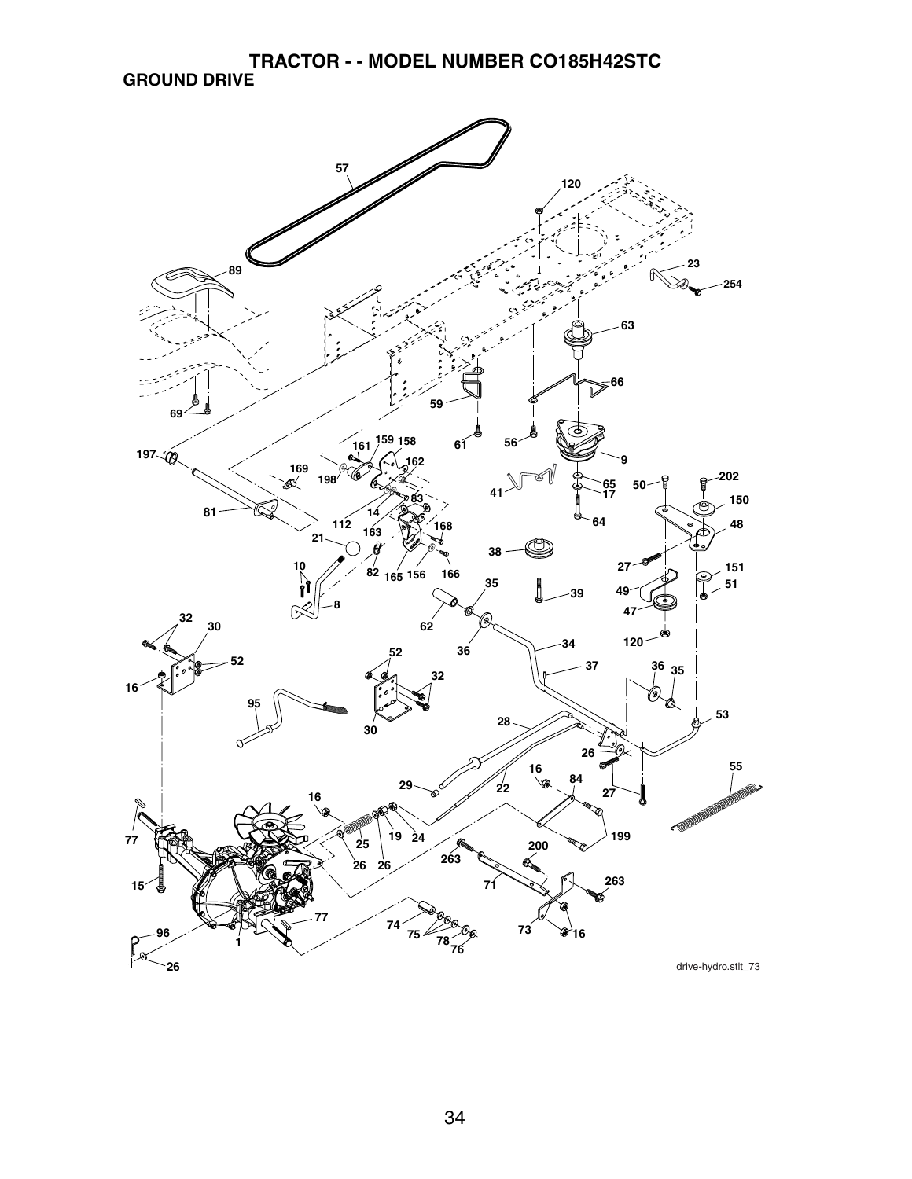**TRACTOR - - MODEL NUMBER CO185H42STC GROUND DRIVE**

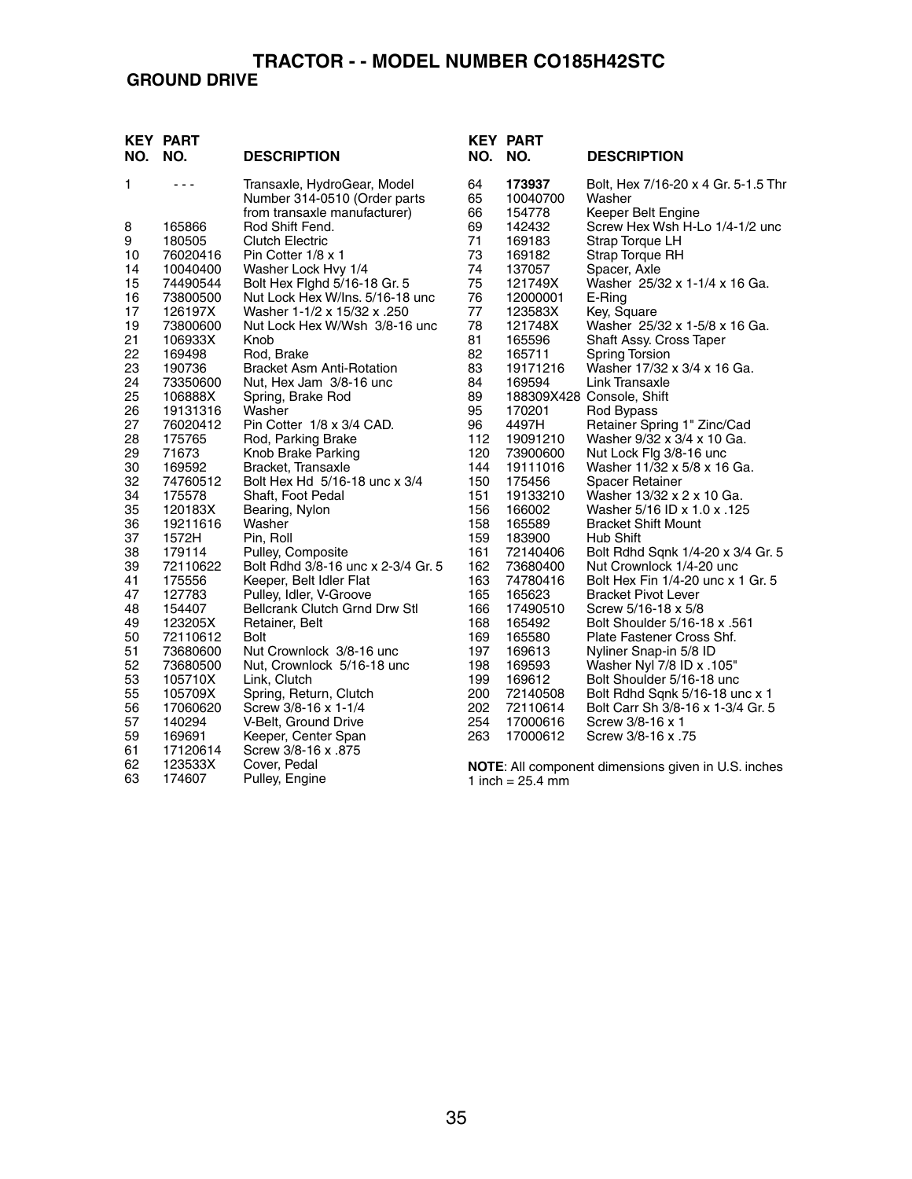### **GROUND DRIVE**

| NO. | <b>KEY PART</b><br>NO. | <b>DESCRIPTION</b>                                          | NO.      | <b>KEY PART</b><br>NO. | <b>DESCRIPTION</b>                                         |
|-----|------------------------|-------------------------------------------------------------|----------|------------------------|------------------------------------------------------------|
| 1   | $- - -$                | Transaxle, HydroGear, Model<br>Number 314-0510 (Order parts | 64<br>65 | 173937<br>10040700     | Bolt, Hex 7/16-20 x 4 Gr. 5-1.5 Thr<br>Washer              |
|     |                        | from transaxle manufacturer)                                | 66       | 154778                 | Keeper Belt Engine                                         |
| 8   | 165866                 | Rod Shift Fend.                                             | 69       | 142432                 | Screw Hex Wsh H-Lo 1/4-1/2 unc                             |
| 9   | 180505                 | <b>Clutch Electric</b>                                      | 71       | 169183                 | Strap Torque LH                                            |
| 10  | 76020416               | Pin Cotter 1/8 x 1                                          | 73       | 169182                 | Strap Torque RH                                            |
| 14  | 10040400               | Washer Lock Hvy 1/4                                         | 74       | 137057                 | Spacer, Axle                                               |
| 15  | 74490544               | Bolt Hex Fighd 5/16-18 Gr. 5                                | 75       | 121749X                | Washer 25/32 x 1-1/4 x 16 Ga.                              |
| 16  | 73800500               | Nut Lock Hex W/Ins, 5/16-18 unc                             | 76       | 12000001               | E-Ring                                                     |
| 17  | 126197X                | Washer 1-1/2 x 15/32 x .250                                 | 77       | 123583X                | Key, Square                                                |
| 19  | 73800600               | Nut Lock Hex W/Wsh 3/8-16 unc                               | 78       | 121748X                | Washer 25/32 x 1-5/8 x 16 Ga.                              |
| 21  | 106933X                | Knob                                                        | 81       | 165596                 | Shaft Assy. Cross Taper                                    |
| 22  | 169498                 | Rod, Brake                                                  | 82       | 165711                 | Spring Torsion                                             |
| 23  | 190736                 | <b>Bracket Asm Anti-Rotation</b>                            | 83       | 19171216               | Washer 17/32 x 3/4 x 16 Ga.                                |
| 24  | 73350600               | Nut, Hex Jam 3/8-16 unc                                     | 84       | 169594                 | Link Transaxle                                             |
| 25  | 106888X                | Spring, Brake Rod                                           | 89       |                        | 188309X428 Console, Shift                                  |
| 26  | 19131316               | Washer                                                      | 95       | 170201                 | Rod Bypass                                                 |
| 27  | 76020412               | Pin Cotter 1/8 x 3/4 CAD.                                   | 96       | 4497H                  | Retainer Spring 1" Zinc/Cad                                |
| 28  | 175765                 | Rod, Parking Brake                                          | 112      | 19091210               | Washer 9/32 x 3/4 x 10 Ga.                                 |
| 29  | 71673                  | Knob Brake Parking                                          | 120      | 73900600               | Nut Lock Flg 3/8-16 unc                                    |
| 30  | 169592                 | Bracket, Transaxle                                          | 144      | 19111016               | Washer 11/32 x 5/8 x 16 Ga.                                |
| 32  | 74760512               | Bolt Hex Hd 5/16-18 unc x 3/4                               | 150      | 175456                 | <b>Spacer Retainer</b>                                     |
| 34  | 175578                 | Shaft, Foot Pedal                                           | 151      | 19133210               | Washer 13/32 x 2 x 10 Ga.                                  |
| 35  | 120183X                | Bearing, Nylon                                              | 156      | 166002                 | Washer 5/16 ID x 1.0 x .125                                |
| 36  | 19211616               | Washer                                                      | 158      | 165589                 | <b>Bracket Shift Mount</b>                                 |
| 37  | 1572H                  | Pin, Roll                                                   | 159      | 183900                 | <b>Hub Shift</b>                                           |
| 38  | 179114                 | Pulley, Composite                                           | 161      | 72140406               | Bolt Rdhd Sqnk 1/4-20 x 3/4 Gr. 5                          |
| 39  | 72110622               | Bolt Rdhd 3/8-16 unc x 2-3/4 Gr. 5                          | 162      | 73680400               | Nut Crownlock 1/4-20 unc                                   |
| 41  | 175556                 | Keeper, Belt Idler Flat                                     | 163      | 74780416               | Bolt Hex Fin 1/4-20 unc x 1 Gr. 5                          |
| 47  | 127783                 | Pulley, Idler, V-Groove                                     | 165      | 165623                 | <b>Bracket Pivot Lever</b>                                 |
| 48  | 154407                 | Bellcrank Clutch Grnd Drw Stl                               | 166      | 17490510               | Screw 5/16-18 x 5/8                                        |
| 49  | 123205X                | Retainer, Belt                                              | 168      | 165492                 | Bolt Shoulder 5/16-18 x .561                               |
| 50  | 72110612               | Bolt                                                        | 169      | 165580                 | Plate Fastener Cross Shf.                                  |
| 51  | 73680600               | Nut Crownlock 3/8-16 unc                                    | 197      | 169613                 | Nyliner Snap-in 5/8 ID                                     |
| 52  | 73680500               | Nut, Crownlock 5/16-18 unc                                  | 198      | 169593                 | Washer Nyl 7/8 ID x .105"                                  |
| 53  | 105710X                | Link, Clutch                                                | 199      | 169612                 | Bolt Shoulder 5/16-18 unc                                  |
| 55  | 105709X                | Spring, Return, Clutch                                      | 200      | 72140508               | Bolt Rdhd Sqnk 5/16-18 unc x 1                             |
| 56  | 17060620               | Screw 3/8-16 x 1-1/4                                        | 202      | 72110614               | Bolt Carr Sh 3/8-16 x 1-3/4 Gr. 5                          |
| 57  | 140294                 | V-Belt, Ground Drive                                        | 254      | 17000616               | Screw 3/8-16 x 1                                           |
| 59  | 169691                 | Keeper, Center Span                                         | 263      | 17000612               | Screw 3/8-16 x .75                                         |
| 61  | 17120614               | Screw 3/8-16 x .875                                         |          |                        |                                                            |
| 62  | 123533X                | Cover, Pedal                                                |          |                        | <b>NOTE:</b> All component dimensions given in U.S. inches |
| 63  | 174607                 | Pulley, Engine                                              |          | 1 inch = $25.4$ mm     |                                                            |

35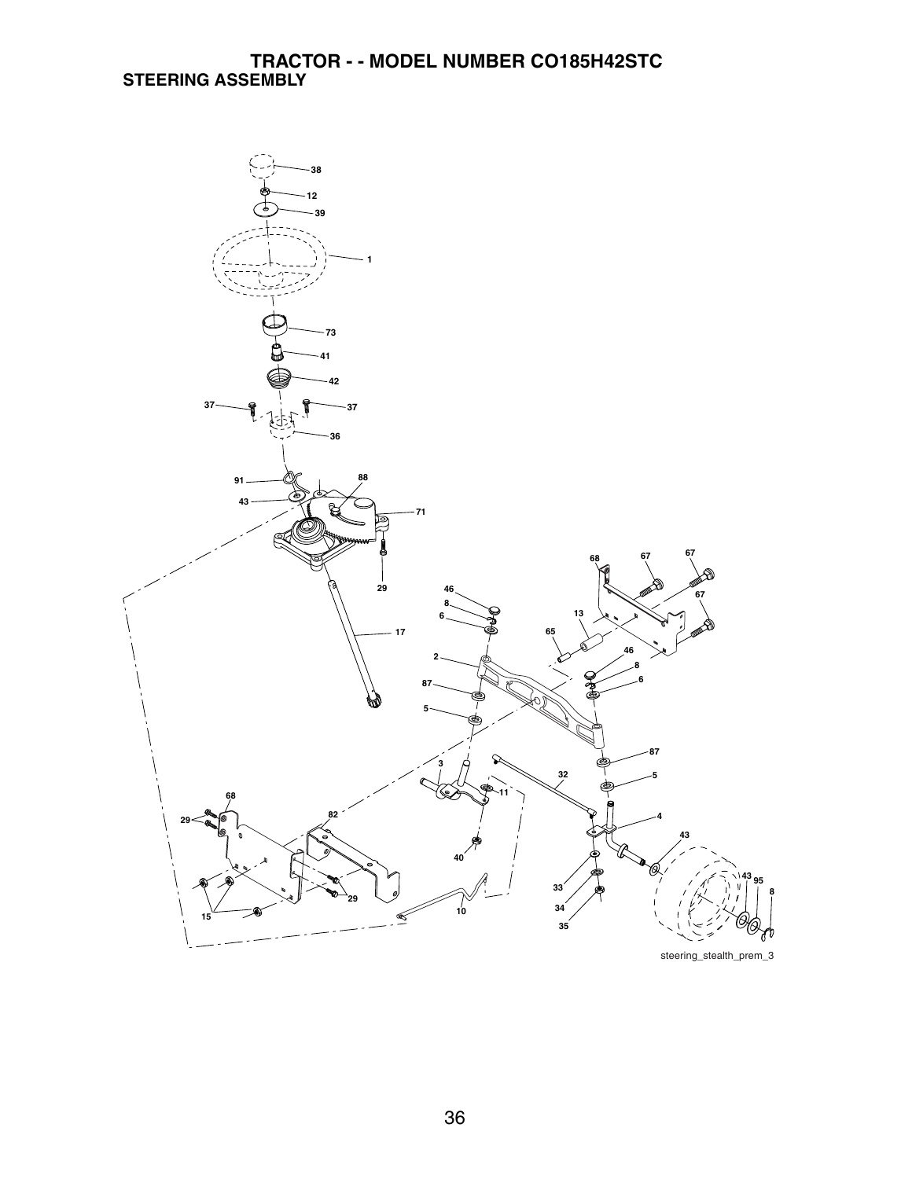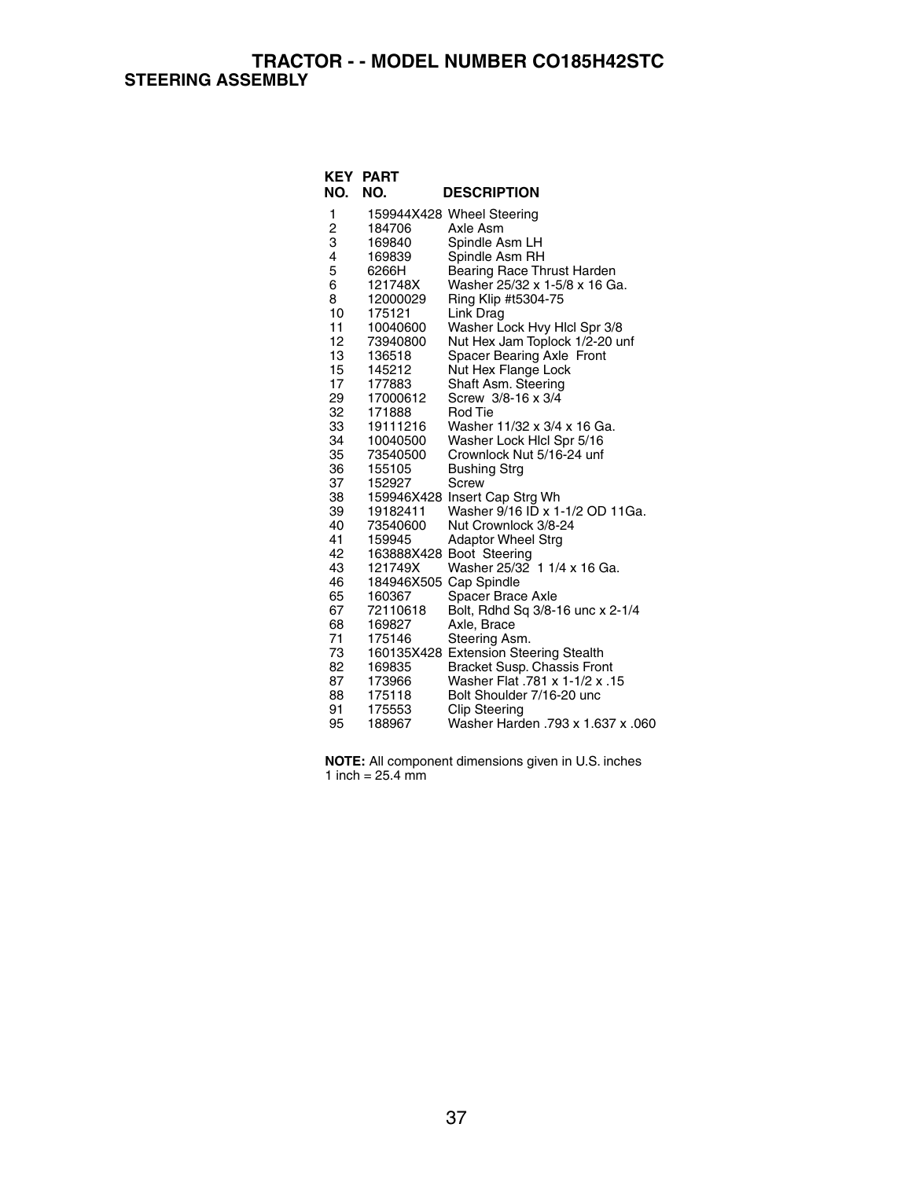**TRACTOR - - MODEL NUMBER CO185H42STC STEERING ASSEMBLY**

| NO.            | <b>KEY PART</b><br>NO. | <b>DESCRIPTION</b>                                     |
|----------------|------------------------|--------------------------------------------------------|
| 1              |                        | 159944X428 Wheel Steering                              |
| $\overline{c}$ | 184706                 | Axle Asm                                               |
| 3              | 169840                 | Spindle Asm LH                                         |
| 4              | 169839                 | Spindle Asm RH                                         |
| 5              | 6266H                  | Bearing Race Thrust Harden                             |
| 6              | 121748X                | Washer 25/32 x 1-5/8 x 16 Ga.                          |
| 8              | 12000029               | Ring Klip #t5304-75                                    |
| 10             | 175121                 | Link Drag                                              |
| 11             | 10040600               | Washer Lock Hvy Hicl Spr 3/8                           |
| 12             | 73940800               | Nut Hex Jam Toplock 1/2-20 unf                         |
| 13             | 136518                 | Spacer Bearing Axle Front                              |
| 15             | 145212                 | Nut Hex Flange Lock                                    |
| 17             | 177883                 | Shaft Asm. Steering                                    |
| 29             | 17000612               | Screw 3/8-16 x 3/4                                     |
| 32             | 171888                 | Rod Tie                                                |
| 33             | 19111216               | Washer 11/32 x 3/4 x 16 Ga.                            |
| 34             | 10040500               | Washer Lock Hicl Spr 5/16                              |
| 35             | 73540500               | Crownlock Nut 5/16-24 unf                              |
| 36             | 155105                 | <b>Bushing Strg</b>                                    |
| 37             | 152927                 | Screw                                                  |
| 38             |                        | 159946X428 Insert Cap Strg Wh                          |
| 39             | 19182411               | Washer 9/16 ID x 1-1/2 OD 11Ga.                        |
| 40             | 73540600               | Nut Crownlock 3/8-24                                   |
| 41             | 159945                 | <b>Adaptor Wheel Strg</b>                              |
| 42             |                        | 163888X428 Boot Steering                               |
| 43             | 121749X                | Washer 25/32 1 1/4 x 16 Ga.                            |
| 46             | 184946X505 Cap Spindle |                                                        |
| 65<br>67       | 160367                 | Spacer Brace Axle                                      |
| 68             | 72110618<br>169827     | Bolt, Rdhd Sq 3/8-16 unc x 2-1/4<br>Axle, Brace        |
| 71             | 175146                 |                                                        |
| 73             |                        | Steering Asm.<br>160135X428 Extension Steering Stealth |
| 82             | 169835                 | Bracket Susp. Chassis Front                            |
| 87             | 173966                 | 15. Washer Flat .781 x 1-1/2 x                         |
| 88             | 175118                 | Bolt Shoulder 7/16-20 unc                              |
| 91             | 175553                 | <b>Clip Steering</b>                                   |
| 95             | 188967                 | Washer Harden .793 x 1.637 x .060                      |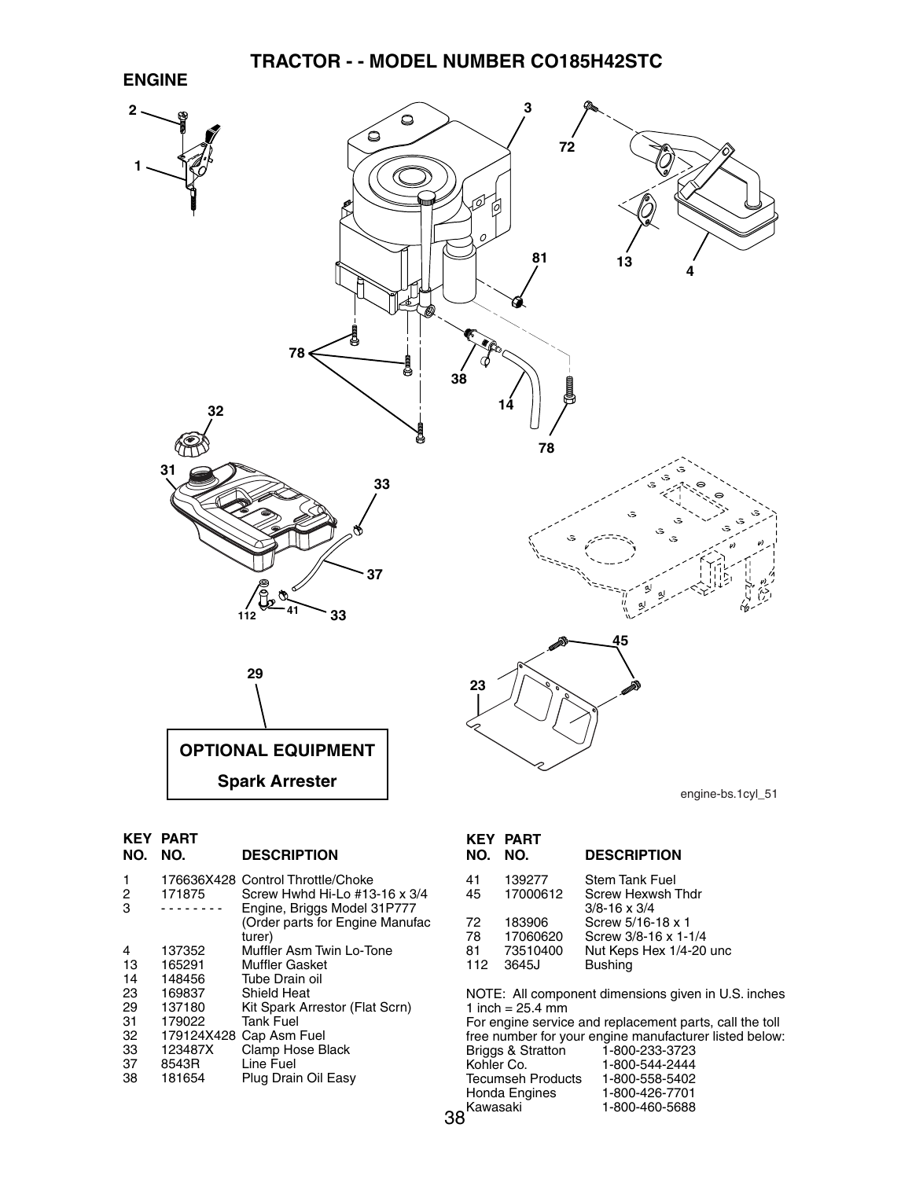



| NO.         | <b>KEY PART</b><br>NO. | <b>DESCRIPTION</b>                                                                                                                             |
|-------------|------------------------|------------------------------------------------------------------------------------------------------------------------------------------------|
| 1<br>2<br>3 | 171875                 | 176636X428 Control Throttle/Choke<br>Screw Hwhd Hi-Lo #13-16 x 3/4<br>Engine, Briggs Model 31P777<br>(Order parts for Engine Manufac<br>turer) |
| 4           | 137352                 | Muffler Asm Twin Lo-Tone                                                                                                                       |
| 13          | 165291                 | <b>Muffler Gasket</b>                                                                                                                          |
| 14          | 148456                 | Tube Drain oil                                                                                                                                 |
| 23.         | 169837                 | <b>Shield Heat</b>                                                                                                                             |
| 29          | 137180                 | Kit Spark Arrestor (Flat Scrn)                                                                                                                 |
| 31          | 179022                 | <b>Tank Fuel</b>                                                                                                                               |
| 32.         |                        | 179124X428 Cap Asm Fuel                                                                                                                        |
| 33          | 123487X                | Clamp Hose Black                                                                                                                               |
| 37          | 8543R                  | Line Fuel                                                                                                                                      |
| 38          | 181654                 | Plug Drain Oil Easy                                                                                                                            |

| NO.                                                                                                                                                                                                    | KEY PART<br>NO.                | <b>DESCRIPTION</b>                                                   |
|--------------------------------------------------------------------------------------------------------------------------------------------------------------------------------------------------------|--------------------------------|----------------------------------------------------------------------|
| 41<br>45                                                                                                                                                                                               | 139277<br>17000612             | <b>Stem Tank Fuel</b><br>Screw Hexwsh Thdr<br>$3/8 - 16 \times 3/4$  |
| 72<br>78<br>81                                                                                                                                                                                         | 183906<br>17060620<br>73510400 | Screw 5/16-18 x 1<br>Screw 3/8-16 x 1-1/4<br>Nut Keps Hex 1/4-20 unc |
| 112                                                                                                                                                                                                    | 3645J                          | <b>Bushing</b>                                                       |
| NOTE: All component dimensions given in U.S. inches<br>1 inch = $25.4 \text{ mm}$<br>For engine service and replacement parts, call the toll<br>free number for your engine manufacturer listed below: |                                |                                                                      |

| 1-800-233-3723 |
|----------------|
| 1-800-544-2444 |
| 1-800-558-5402 |
| 1-800-426-7701 |
| 1-800-460-5688 |
|                |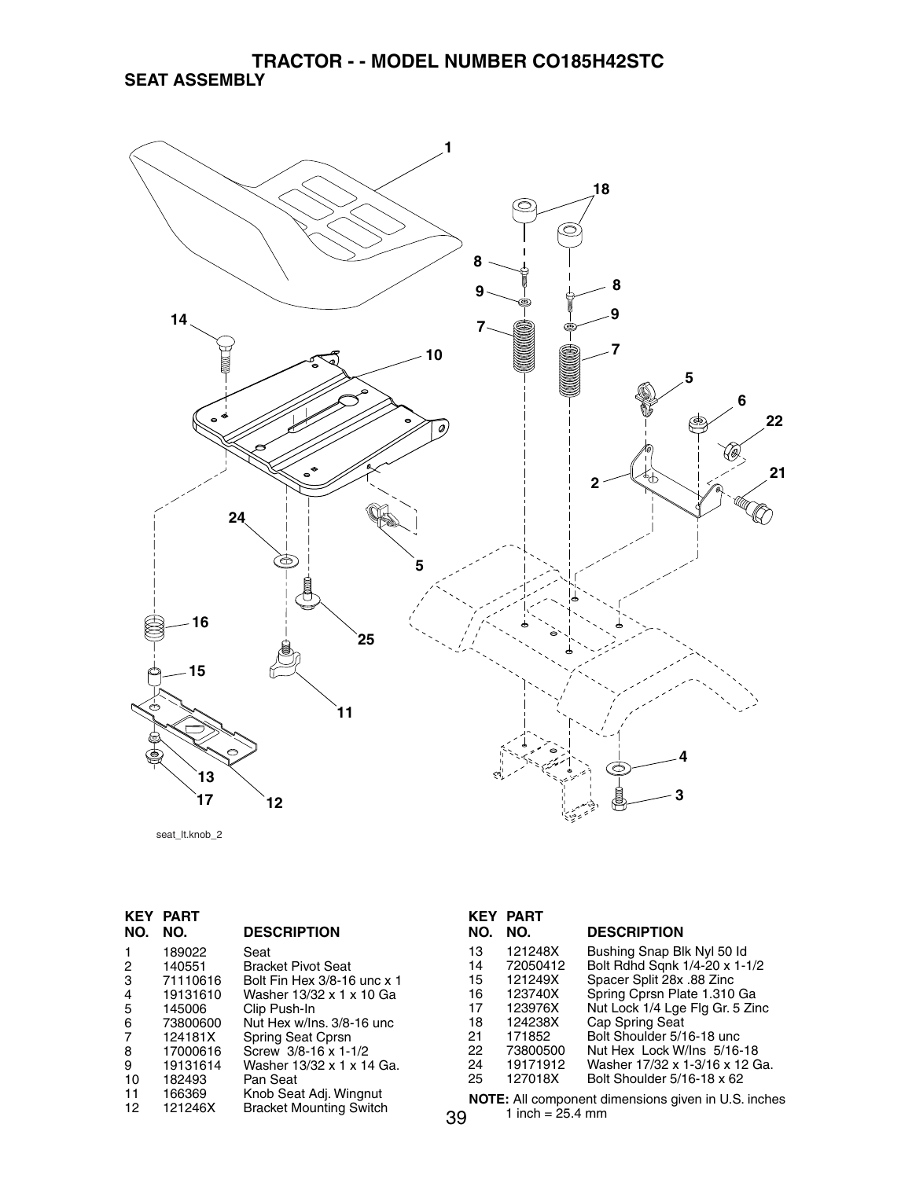#### **TRACTOR - - MODEL NUMBER CO185H42STC SEAT ASSEMBLY**



seat\_lt.knob\_2

| <b>KEY</b> | <b>PART</b> |                                |
|------------|-------------|--------------------------------|
| NO.        | NO.         | <b>DESCRIPTION</b>             |
| 1          | 189022      | Seat                           |
| 2          | 140551      | <b>Bracket Pivot Seat</b>      |
| 3          | 71110616    | Bolt Fin Hex 3/8-16 unc x 1    |
| 4          | 19131610    | Washer 13/32 x 1 x 10 Ga       |
| 5          | 145006      | Clip Push-In                   |
| 6          | 73800600    | Nut Hex w/Ins. 3/8-16 unc      |
| 7          | 124181X     | Spring Seat Cprsn              |
| 8          | 17000616    | Screw 3/8-16 x 1-1/2           |
| 9          | 19131614    | Washer 13/32 x 1 x 14 Ga.      |
| 10         | 182493      | Pan Seat                       |
| 11         | 166369      | Knob Seat Adj. Wingnut         |
| 12         | 121246X     | <b>Bracket Mounting Switch</b> |
|            |             |                                |

|     | <b>KEY PART</b> |                                 |
|-----|-----------------|---------------------------------|
| NO. | NO.             | <b>DESCRIPTION</b>              |
| 13  | 121248X         | Bushing Snap Blk Nyl 50 ld      |
| 14  | 72050412        | Bolt Rdhd Sqnk 1/4-20 x 1-1/2   |
| 15  | 121249X         | Spacer Split 28x .88 Zinc       |
| 16  | 123740X         | Spring Cprsn Plate 1.310 Ga     |
| 17  | 123976X         | Nut Lock 1/4 Lge Flg Gr. 5 Zinc |
| 18  | 124238X         | Cap Spring Seat                 |
| 21  | 171852          | Bolt Shoulder 5/16-18 unc       |
| 22  | 73800500        | Nut Hex Lock W/Ins 5/16-18      |
| 24  | 19171912        | Washer 17/32 x 1-3/16 x 12 Ga.  |
| 25  | 127018X         | Bolt Shoulder 5/16-18 x 62      |
|     |                 |                                 |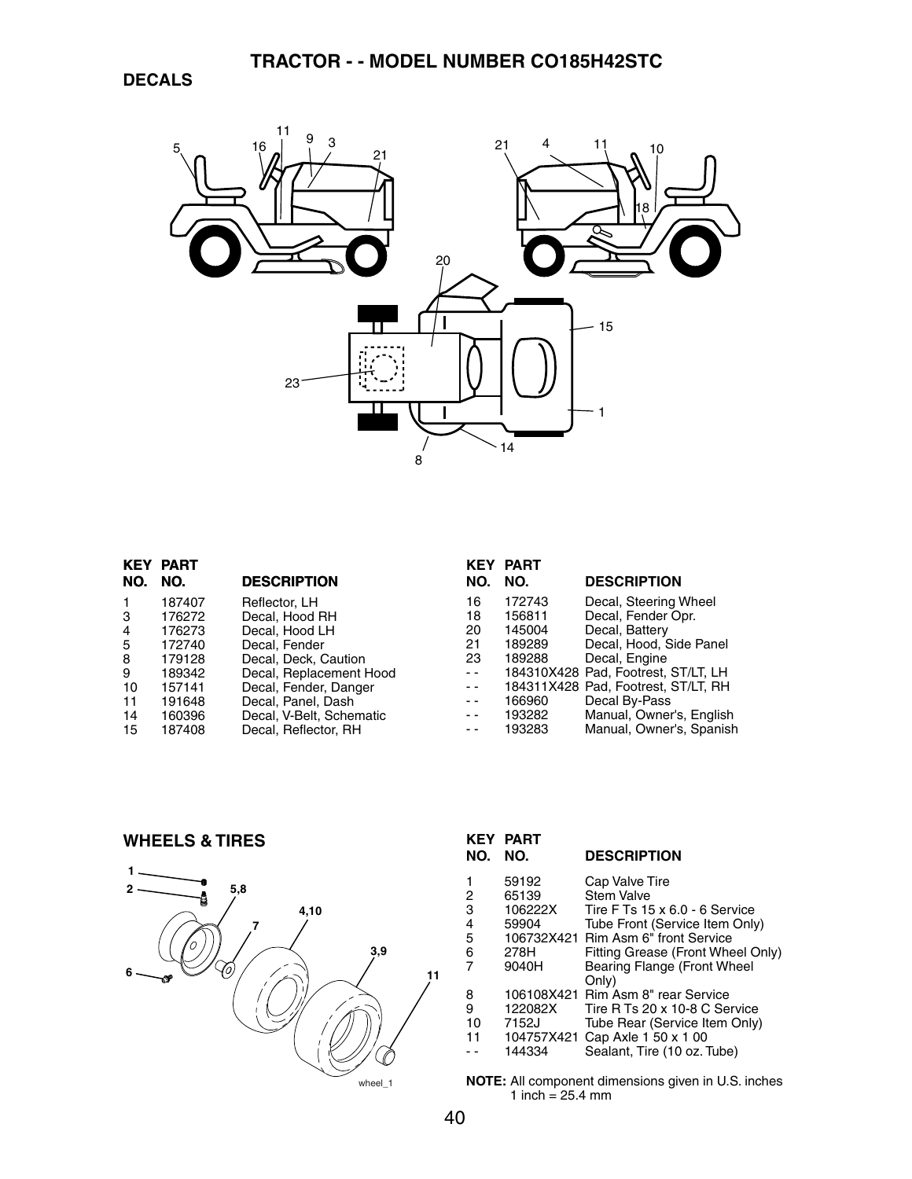

| KEY            | <b>PART</b> |                          |               | <b>KEY PART</b> |                                     |
|----------------|-------------|--------------------------|---------------|-----------------|-------------------------------------|
| NO.            | NO.         | <b>DESCRIPTION</b>       | NO.           | NO.             | <b>DESCRIPTION</b>                  |
|                | 187407      | Reflector, LH            | 16            | 172743          | Decal, Steering Wheel               |
| 3              | 176272      | Decal, Hood RH           | 18            | 156811          | Decal, Fender Opr.                  |
| $\overline{4}$ | 176273      | Decal. Hood LH           | 20            | 145004          | Decal, Battery                      |
| -5             | 172740      | Decal. Fender            | 21            | 189289          | Decal, Hood, Side Panel             |
| 8              | 179128      | Decal, Deck, Caution     | 23            | 189288          | Decal, Engine                       |
| 9              | 189342      | Decal, Replacement Hood  | $ -$          |                 | 184310X428 Pad, Footrest, ST/LT, LH |
| 10             | 157141      | Decal, Fender, Danger    | $\frac{1}{2}$ |                 | 184311X428 Pad, Footrest, ST/LT, RH |
| 11             | 191648      | Decal, Panel, Dash       | $ -$          | 166960          | Decal By-Pass                       |
| 14             | 160396      | Decal, V-Belt, Schematic | $ -$          | 193282          | Manual, Owner's, English            |
| 15             | 187408      | Decal, Reflector, RH     | $ -$          | 193283          | Manual, Owner's, Spanish            |
|                |             |                          |               |                 |                                     |

**WHEELS & TIRES**



| NO.                             | <b>KEY PART</b><br>NO.                                 | <b>DESCRIPTION</b>                                                                                                                                                                                                          |
|---------------------------------|--------------------------------------------------------|-----------------------------------------------------------------------------------------------------------------------------------------------------------------------------------------------------------------------------|
| 1<br>2<br>3<br>4<br>5<br>6<br>7 | 59192<br>65139<br>106222X<br>59904<br>278H<br>9040H    | Cap Valve Tire<br>Stem Valve<br>Tire F Ts $15 \times 6.0 - 6$ Service<br>Tube Front (Service Item Only)<br>106732X421 Rim Asm 6" front Service<br>Fitting Grease (Front Wheel Only)<br>Bearing Flange (Front Wheel<br>Only) |
| 8<br>9<br>10<br>11              | 106108X421<br>122082X<br>7152J<br>104757X421<br>144334 | Rim Asm 8" rear Service<br>Tire R Ts 20 x 10-8 C Service<br>Tube Rear (Service Item Only)<br>Cap Axle 1 50 x 1 00<br>Sealant, Tire (10 oz. Tube)                                                                            |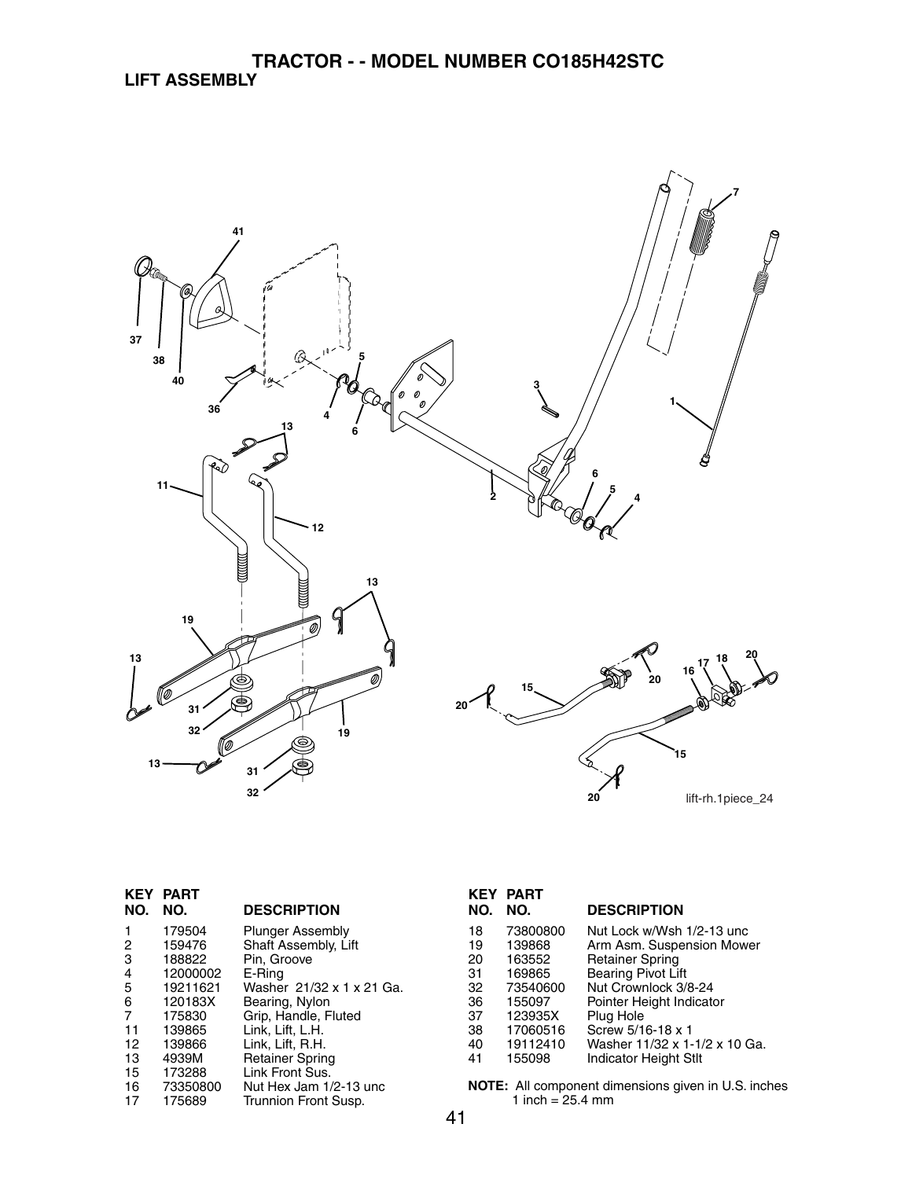

| NO. | <b>KEY PART</b><br>NO. | <b>DESCRIPTION</b>        |
|-----|------------------------|---------------------------|
| 1   | 179504                 | <b>Plunger Assembly</b>   |
| 2   | 159476                 | Shaft Assembly, Lift      |
| 3   | 188822                 | Pin, Groove               |
| 4   | 12000002               | E-Ring                    |
| 5   | 19211621               | Washer 21/32 x 1 x 21 Ga. |
| 6   | 120183X                | Bearing, Nylon            |
| 7   | 175830                 | Grip, Handle, Fluted      |
| 11  | 139865                 | Link, Lift, L.H.          |
| 12  | 139866                 | Link, Lift, R.H.          |
| 13  | 4939M                  | <b>Retainer Spring</b>    |
| 15  | 173288                 | Link Front Sus.           |
| 16  | 73350800               | Nut Hex Jam 1/2-13 unc    |
| 17  | 175689                 | Trunnion Front Susp.      |

| NO.                                                      | <b>KEY PART</b><br>NO.                                                                                    | <b>DESCRIPTION</b>                                                                                                                                                                                                                                                   |
|----------------------------------------------------------|-----------------------------------------------------------------------------------------------------------|----------------------------------------------------------------------------------------------------------------------------------------------------------------------------------------------------------------------------------------------------------------------|
| 18<br>19<br>20<br>31<br>32<br>36<br>37<br>38<br>40<br>41 | 73800800<br>139868<br>163552<br>169865<br>73540600<br>155097<br>123935X<br>17060516<br>19112410<br>155098 | Nut Lock w/Wsh 1/2-13 unc<br>Arm Asm. Suspension Mower<br><b>Retainer Spring</b><br><b>Bearing Pivot Lift</b><br>Nut Crownlock 3/8-24<br>Pointer Height Indicator<br>Plug Hole<br>Screw 5/16-18 x 1<br>Washer 11/32 x 1-1/2 x 10 Ga.<br><b>Indicator Height Stlt</b> |
|                                                          |                                                                                                           |                                                                                                                                                                                                                                                                      |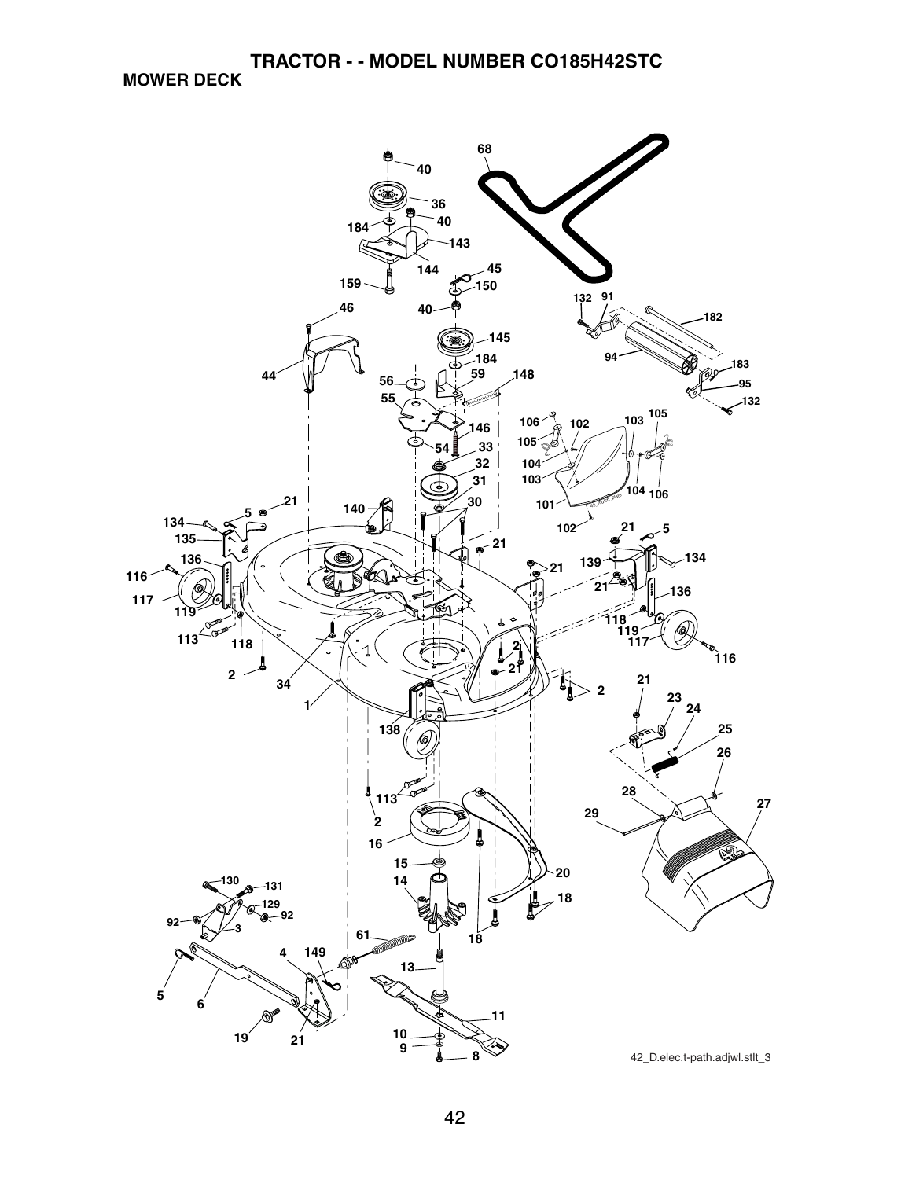**MOWER DECK**